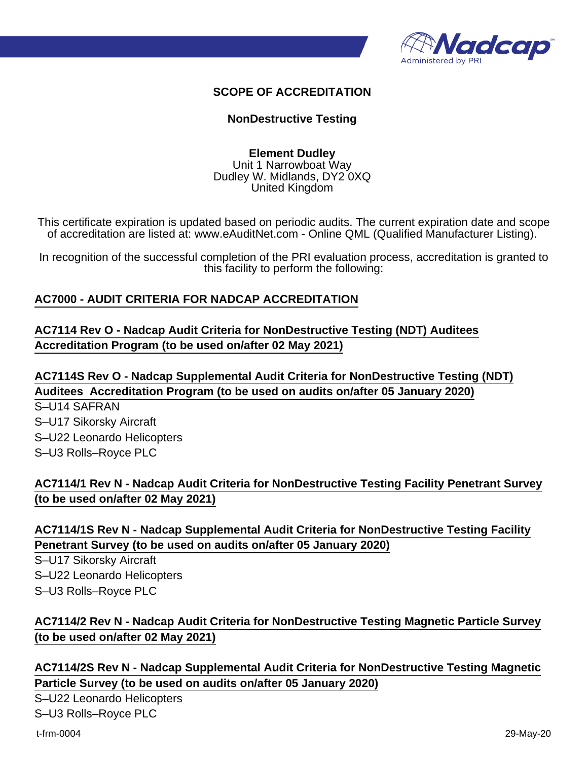

### **SCOPE OF ACCREDITATION**

#### **NonDestructive Testing**

**Element Dudley** Unit 1 Narrowboat Way Dudley W. Midlands, DY2 0XQ United Kingdom

This certificate expiration is updated based on periodic audits. The current expiration date and scope of accreditation are listed at: www.eAuditNet.com - Online QML (Qualified Manufacturer Listing).

In recognition of the successful completion of the PRI evaluation process, accreditation is granted to this facility to perform the following:

#### **AC7000 - AUDIT CRITERIA FOR NADCAP ACCREDITATION**

### **AC7114 Rev O - Nadcap Audit Criteria for NonDestructive Testing (NDT) Auditees Accreditation Program (to be used on/after 02 May 2021)**

**AC7114S Rev O - Nadcap Supplemental Audit Criteria for NonDestructive Testing (NDT) Auditees Accreditation Program (to be used on audits on/after 05 January 2020)**

S–U14 SAFRAN S–U17 Sikorsky Aircraft S–U22 Leonardo Helicopters S–U3 Rolls–Royce PLC

## **AC7114/1 Rev N - Nadcap Audit Criteria for NonDestructive Testing Facility Penetrant Survey (to be used on/after 02 May 2021)**

### **AC7114/1S Rev N - Nadcap Supplemental Audit Criteria for NonDestructive Testing Facility Penetrant Survey (to be used on audits on/after 05 January 2020)**

S–U17 Sikorsky Aircraft S–U22 Leonardo Helicopters S–U3 Rolls–Royce PLC

# **AC7114/2 Rev N - Nadcap Audit Criteria for NonDestructive Testing Magnetic Particle Survey (to be used on/after 02 May 2021)**

## **AC7114/2S Rev N - Nadcap Supplemental Audit Criteria for NonDestructive Testing Magnetic Particle Survey (to be used on audits on/after 05 January 2020)**

S–U22 Leonardo Helicopters S–U3 Rolls–Royce PLC